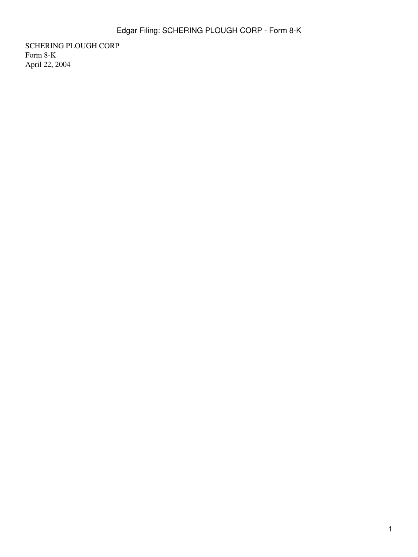SCHERING PLOUGH CORP Form 8-K April 22, 2004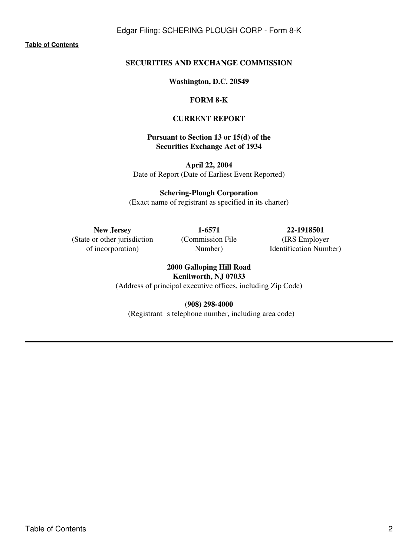Edgar Filing: SCHERING PLOUGH CORP - Form 8-K

**[Table of Contents](#page-2-0)**

# **SECURITIES AND EXCHANGE COMMISSION**

**Washington, D.C. 20549**

#### **FORM 8-K**

#### **CURRENT REPORT**

## **Pursuant to Section 13 or 15(d) of the Securities Exchange Act of 1934**

**April 22, 2004** Date of Report (Date of Earliest Event Reported)

**Schering-Plough Corporation** (Exact name of registrant as specified in its charter)

**New Jersey 1-6571 22-1918501** (State or other jurisdiction of incorporation)

(Commission File Number)

(IRS Employer Identification Number)

**2000 Galloping Hill Road Kenilworth, NJ 07033** (Address of principal executive offices, including Zip Code)

**(908) 298-4000**

(Registrant s telephone number, including area code)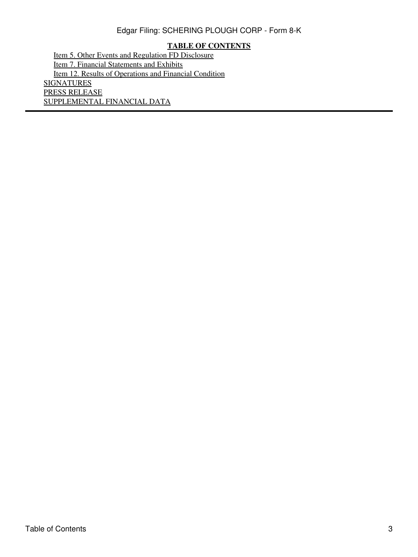# Edgar Filing: SCHERING PLOUGH CORP - Form 8-K

# **TABLE OF CONTENTS**

<span id="page-2-0"></span>[Item 5. Other Events and Regulation FD Disclosure](#page-3-0) [Item 7. Financial Statements and Exhibits](#page-3-1) [Item 12. Results of Operations and Financial Condition](#page-3-2) **[SIGNATURES](#page-3-3)** PRESS RELEASE SUPPLEMENTAL FINANCIAL DATA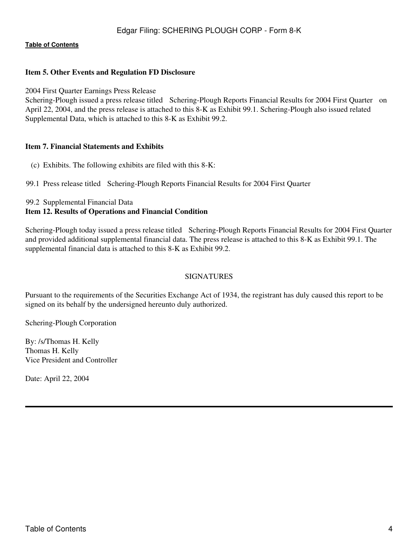#### **[Table of Contents](#page-2-0)**

### <span id="page-3-0"></span>**Item 5. Other Events and Regulation FD Disclosure**

2004 First Quarter Earnings Press Release

Schering-Plough issued a press release titled Schering-Plough Reports Financial Results for 2004 First Quarter on April 22, 2004, and the press release is attached to this 8-K as Exhibit 99.1. Schering-Plough also issued related Supplemental Data, which is attached to this 8-K as Exhibit 99.2.

#### <span id="page-3-1"></span>**Item 7. Financial Statements and Exhibits**

- (c) Exhibits. The following exhibits are filed with this 8-K:
- 99.1 Press release titled Schering-Plough Reports Financial Results for 2004 First Quarter

#### 99.2 Supplemental Financial Data

#### <span id="page-3-2"></span>**Item 12. Results of Operations and Financial Condition**

Schering-Plough today issued a press release titled Schering-Plough Reports Financial Results for 2004 First Quarter and provided additional supplemental financial data. The press release is attached to this 8-K as Exhibit 99.1. The supplemental financial data is attached to this 8-K as Exhibit 99.2.

## **SIGNATURES**

<span id="page-3-3"></span>Pursuant to the requirements of the Securities Exchange Act of 1934, the registrant has duly caused this report to be signed on its behalf by the undersigned hereunto duly authorized.

Schering-Plough Corporation

By: /s/Thomas H. Kelly Thomas H. Kelly Vice President and Controller

Date: April 22, 2004